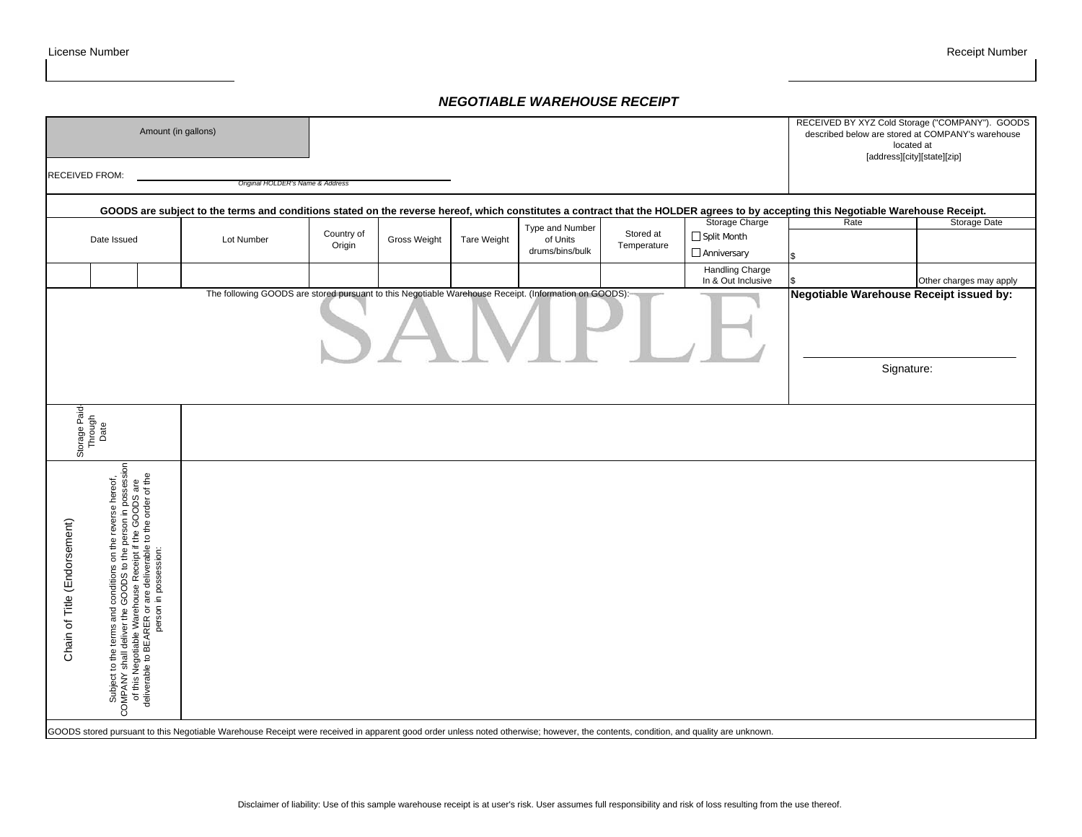# *NEGOTIABLE WAREHOUSE RECEIPT*

| Amount (in gallons) |                      |                                  |                    |                             |                          |                                                                                                       | RECEIVED BY XYZ Cold Storage ("COMPANY"). GOODS<br>described below are stored at COMPANY's warehouse<br>located at                                                                                                         |                                                                                                                                                                                                                                       |
|---------------------|----------------------|----------------------------------|--------------------|-----------------------------|--------------------------|-------------------------------------------------------------------------------------------------------|----------------------------------------------------------------------------------------------------------------------------------------------------------------------------------------------------------------------------|---------------------------------------------------------------------------------------------------------------------------------------------------------------------------------------------------------------------------------------|
|                     |                      |                                  |                    |                             |                          |                                                                                                       |                                                                                                                                                                                                                            | [address][city][state][zip]                                                                                                                                                                                                           |
|                     |                      |                                  |                    |                             |                          |                                                                                                       |                                                                                                                                                                                                                            |                                                                                                                                                                                                                                       |
|                     |                      |                                  |                    |                             |                          |                                                                                                       |                                                                                                                                                                                                                            |                                                                                                                                                                                                                                       |
|                     |                      |                                  |                    |                             |                          |                                                                                                       |                                                                                                                                                                                                                            | Storage Date                                                                                                                                                                                                                          |
| Lot Number          | Country of<br>Origin | Gross Weight                     | <b>Tare Weight</b> | of Units<br>drums/bins/bulk | Stored at<br>Temperature | $\Box$ Split Month                                                                                    |                                                                                                                                                                                                                            |                                                                                                                                                                                                                                       |
|                     |                      |                                  |                    |                             |                          | Anniversary                                                                                           |                                                                                                                                                                                                                            |                                                                                                                                                                                                                                       |
|                     |                      |                                  |                    |                             |                          | Handling Charge                                                                                       |                                                                                                                                                                                                                            |                                                                                                                                                                                                                                       |
|                     |                      |                                  |                    |                             |                          |                                                                                                       |                                                                                                                                                                                                                            | Other charges may apply                                                                                                                                                                                                               |
|                     |                      |                                  |                    |                             |                          |                                                                                                       |                                                                                                                                                                                                                            |                                                                                                                                                                                                                                       |
|                     |                      |                                  |                    |                             |                          | Signature:                                                                                            |                                                                                                                                                                                                                            |                                                                                                                                                                                                                                       |
|                     |                      |                                  |                    |                             |                          |                                                                                                       |                                                                                                                                                                                                                            |                                                                                                                                                                                                                                       |
|                     |                      |                                  |                    |                             |                          |                                                                                                       |                                                                                                                                                                                                                            |                                                                                                                                                                                                                                       |
|                     |                      |                                  |                    |                             |                          |                                                                                                       |                                                                                                                                                                                                                            |                                                                                                                                                                                                                                       |
|                     |                      |                                  |                    |                             |                          |                                                                                                       |                                                                                                                                                                                                                            |                                                                                                                                                                                                                                       |
|                     |                      | Original HOLDER's Name & Address |                    |                             | Type and Number          | The following GOODS are stored pursuant to this Negotiable Warehouse Receipt. (Information on GOODS): | Storage Charge<br>In & Out Inclusive<br>GOODS stored pursuant to this Negotiable Warehouse Receipt were received in apparent good order unless noted otherwise; however, the contents, condition, and quality are unknown. | GOODS are subject to the terms and conditions stated on the reverse hereof, which constitutes a contract that the HOLDER agrees to by accepting this Negotiable Warehouse Receipt.<br>Rate<br>Negotiable Warehouse Receipt issued by: |